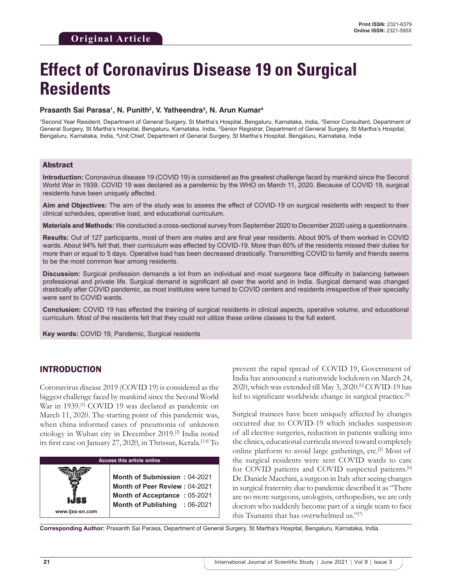# **Effect of Coronavirus Disease 19 on Surgical Residents**

#### **Prasanth Sai Parasa1 , N. Punith2 , V. Yatheendra3 , N. Arun Kumar4**

<sup>1</sup>Second Year Resident, Department of General Surgery, St Martha's Hospital, Bengaluru, Karnataka, India, <sup>2</sup>Senior Consultant, Department of General Surgery, St Martha's Hospital, Bengaluru, Karnataka, India, <sup>3</sup>Senior Registrar, Department of General Surgery, St Martha's Hospital, Bengaluru, Karnataka, India, 4 Unit Chief, Department of General Surgery, St Martha's Hospital, Bengaluru, Karnataka, India

#### Abstract

**Introduction:** Coronavirus disease 19 (COVID 19) is considered as the greatest challenge faced by mankind since the Second World War in 1939. COVID 19 was declared as a pandemic by the WHO on March 11, 2020. Because of COVID 19, surgical residents have been uniquely affected.

**Aim and Objectives:** The aim of the study was to assess the effect of COVID-19 on surgical residents with respect to their clinical schedules, operative load, and educational curriculum.

**Materials and Methods:** We conducted a cross-sectional survey from September 2020 to December 2020 using a questionnaire.

**Results:** Out of 127 participants, most of them are males and are final year residents. About 90% of them worked in COVID wards. About 94% felt that, their curriculum was effected by COVID-19. More than 60% of the residents missed their duties for more than or equal to 5 days. Operative load has been decreased drastically. Transmitting COVID to family and friends seems to be the most common fear among residents.

**Discussion:** Surgical profession demands a lot from an individual and most surgeons face difficulty in balancing between professional and private life. Surgical demand is significant all over the world and in India. Surgical demand was changed drastically after COVID pandemic, as most institutes were turned to COVID centers and residents irrespective of their specialty were sent to COVID wards.

**Conclusion:** COVID 19 has effected the training of surgical residents in clinical aspects, operative volume, and educational curriculum. Most of the residents felt that they could not utilize these online classes to the full extent.

**Key words:** COVID 19, Pandemic, Surgical residents

## INTRODUCTION

Coronavirus disease 2019 (COVID 19) is considered as the biggest challenge faced by mankind since the Second World War in 1939.<sup>[1]</sup> COVID 19 was declared as pandemic on March 11, 2020. The starting point of this pandemic was, when china informed cases of pneumonia of unknown etiology in Wuhan city in December 2019.[2] India noted its first case on January 27, 2020, in Thrissur, Kerala.<sup>[3,4]</sup> To



prevent the rapid spread of COVID 19, Government of India has announced a nationwide lockdown on March 24, 2020, which was extended till May 3, 2020.[5] COVID-19 has led to significant worldwide change in surgical practice.<sup>[5]</sup>

Surgical trainees have been uniquely affected by changes occurred due to COVID-19 which includes suspension of all elective surgeries, reduction in patients walking into the clinics, educational curricula moved toward completely online platform to avoid large gatherings, etc.[2] Most of the surgical residents were sent COVID wards to care for COVID patients and COVID suspected patients.[6] Dr. Daniele Macchini, a surgeon in Italy after seeing changes in surgical fraternity due to pandemic described it as "There are no more surgeons, urologists, orthopedists, we are only doctors who suddenly become part of a single team to face this Tsunami that has overwhelmed us."[7]

**Corresponding Author:** Prasanth Sai Parasa, Department of General Surgery, St Martha's Hospital, Bengaluru, Karnataka, India.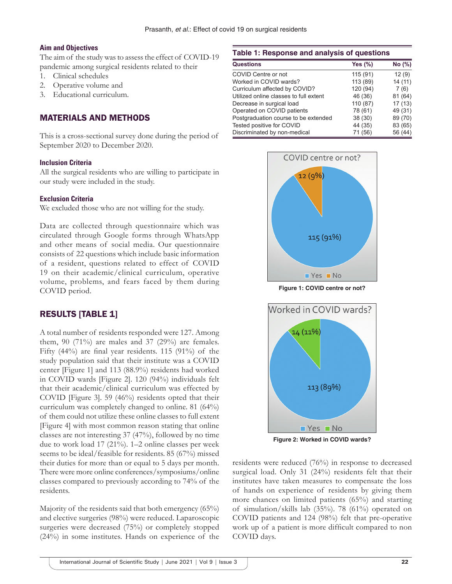#### **Aim and Objectives**

The aim of the study was to assess the effect of COVID-19 pandemic among surgical residents related to their

- 1. Clinical schedules
- 2. Operative volume and
- 3. Educational curriculum.

# MATERIALS AND METHODS

This is a cross-sectional survey done during the period of September 2020 to December 2020.

## **Inclusion Criteria**

All the surgical residents who are willing to participate in our study were included in the study.

## **Exclusion Criteria**

We excluded those who are not willing for the study.

Data are collected through questionnaire which was circulated through Google forms through WhatsApp and other means of social media. Our questionnaire consists of 22 questions which include basic information of a resident, questions related to effect of COVID 19 on their academic/clinical curriculum, operative volume, problems, and fears faced by them during COVID period.

# RESULTS [TABLE 1]

A total number of residents responded were 127. Among them,  $90$  (71%) are males and  $37$  (29%) are females. Fifty (44%) are final year residents. 115 (91%) of the study population said that their institute was a COVID center [Figure 1] and 113 (88.9%) residents had worked in COVID wards [Figure 2]. 120 (94%) individuals felt that their academic/clinical curriculum was effected by COVID [Figure 3]. 59 (46%) residents opted that their curriculum was completely changed to online. 81 (64%) of them could not utilize these online classes to full extent [Figure 4] with most common reason stating that online classes are not interesting 37 (47%), followed by no time due to work load 17 (21%). 1–2 online classes per week seems to be ideal/feasible for residents. 85 (67%) missed their duties for more than or equal to 5 days per month. There were more online conferences/symposiums/online classes compared to previously according to 74% of the residents.

Majority of the residents said that both emergency (65%) and elective surgeries (98%) were reduced. Laparoscopic surgeries were decreased (75%) or completely stopped (24%) in some institutes. Hands on experience of the

#### **Table 1: Response and analysis of questions**

| <b>Questions</b>                       | Yes $(\%)$ | No (%)  |
|----------------------------------------|------------|---------|
| COVID Centre or not                    | 115 (91)   | 12(9)   |
| Worked in COVID wards?                 | 113 (89)   | 14(11)  |
| Curriculum affected by COVID?          | 120 (94)   | 7(6)    |
| Utilized online classes to full extent | 46 (36)    | 81 (64) |
| Decrease in surgical load              | 110 (87)   | 17(13)  |
| Operated on COVID patients             | 78 (61)    | 49 (31) |
| Postgraduation course to be extended   | 38 (30)    | 89 (70) |
| Tested positive for COVID              | 44 (35)    | 83 (65) |
| Discriminated by non-medical           | 71 (56)    | 56 (44) |



**Figure 1: COVID centre or not?**



**Figure 2: Worked in COVID wards?**

residents were reduced (76%) in response to decreased surgical load. Only 31 (24%) residents felt that their institutes have taken measures to compensate the loss of hands on experience of residents by giving them more chances on limited patients (65%) and starting of simulation/skills lab (35%). 78 (61%) operated on COVID patients and 124 (98%) felt that pre-operative work up of a patient is more difficult compared to non COVID days.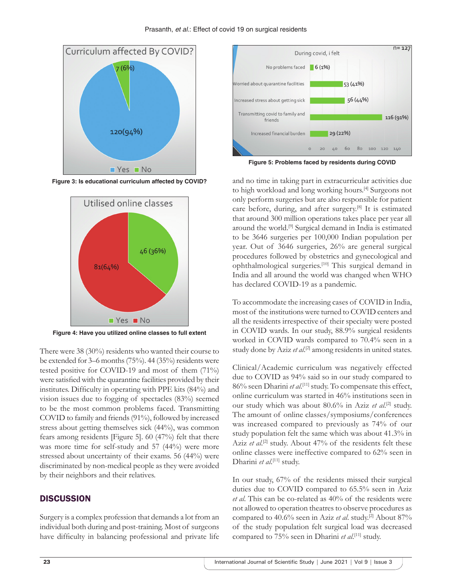

**Figure 3: Is educational curriculum affected by COVID?**



**Figure 4: Have you utilized online classes to full extent**

There were 38 (30%) residents who wanted their course to be extended for 3–6 months (75%). 44 (35%) residents were tested positive for COVID-19 and most of them (71%) were satisfied with the quarantine facilities provided by their institutes. Difficulty in operating with PPE kits (84%) and vision issues due to fogging of spectacles (83%) seemed to be the most common problems faced. Transmitting COVID to family and friends (91%), followed by increased stress about getting themselves sick (44%), was common fears among residents [Figure 5]. 60 (47%) felt that there was more time for self-study and 57 (44%) were more stressed about uncertainty of their exams. 56 (44%) were discriminated by non-medical people as they were avoided by their neighbors and their relatives.

# **DISCUSSION**

Surgery is a complex profession that demands a lot from an individual both during and post-training. Most of surgeons have difficulty in balancing professional and private life



**Figure 5: Problems faced by residents during COVID**

and no time in taking part in extracurricular activities due to high workload and long working hours.[4] Surgeons not only perform surgeries but are also responsible for patient care before, during, and after surgery.[8] It is estimated that around 300 million operations takes place per year all around the world.[9] Surgical demand in India is estimated to be 3646 surgeries per 100,000 Indian population per year. Out of 3646 surgeries, 26% are general surgical procedures followed by obstetrics and gynecological and ophthalmological surgeries.[10] This surgical demand in India and all around the world was changed when WHO has declared COVID-19 as a pandemic.

To accommodate the increasing cases of COVID in India, most of the institutions were turned to COVID centers and all the residents irrespective of their specialty were posted in COVID wards. In our study, 88.9% surgical residents worked in COVID wards compared to 70.4% seen in a study done by Aziz et al.<sup>[2]</sup> among residents in united states.

Clinical/Academic curriculum was negatively effected due to COVID as 94% said so in our study compared to 86% seen Dharini et al.<sup>[11]</sup> study. To compensate this effect, online curriculum was started in 46% institutions seen in our study which was about 80.6% in Aziz *et al.*<sup>[2]</sup> study. The amount of online classes/symposiums/conferences was increased compared to previously as 74% of our study population felt the same which was about 41.3% in Aziz *et al.*<sup>[2]</sup> study. About 47% of the residents felt these online classes were ineffective compared to 62% seen in Dharini et al.<sup>[11]</sup> study.

In our study, 67% of the residents missed their surgical duties due to COVID compared to 65.5% seen in Aziz *et al*. This can be co-related as 40% of the residents were not allowed to operation theatres to observe procedures as compared to 40.6% seen in Aziz et al. study.<sup>[2]</sup> About 87% of the study population felt surgical load was decreased compared to 75% seen in Dharini *et al.*<sup>[11]</sup> study.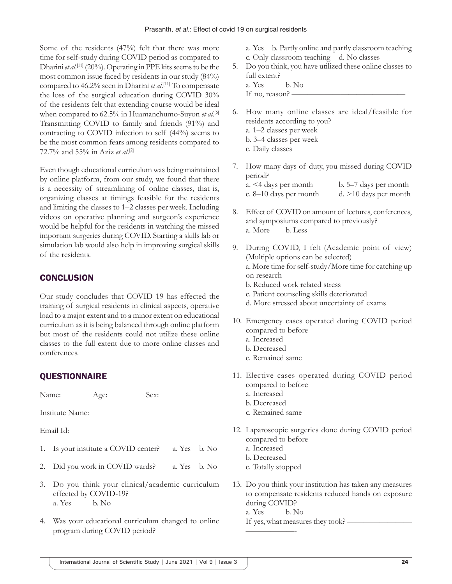Some of the residents (47%) felt that there was more time for self-study during COVID period as compared to Dharini *et al*. [11] (20%). Operating in PPE kits seems to be the most common issue faced by residents in our study (84%) compared to 46.2% seen in Dharini *et al*. [11] To compensate the loss of the surgical education during COVID 30% of the residents felt that extending course would be ideal when compared to 62.5% in Huamanchumo-Suyon *et al*. [6] Transmitting COVID to family and friends (91%) and contracting to COVID infection to self (44%) seems to be the most common fears among residents compared to 72.7% and 55% in Aziz *et al*. [2]

Even though educational curriculum was being maintained by online platform, from our study, we found that there is a necessity of streamlining of online classes, that is, organizing classes at timings feasible for the residents and limiting the classes to 1–2 classes per week. Including videos on operative planning and surgeon's experience would be helpful for the residents in watching the missed important surgeries during COVID. Starting a skills lab or simulation lab would also help in improving surgical skills of the residents.

# **CONCLUSION**

Our study concludes that COVID 19 has effected the training of surgical residents in clinical aspects, operative load to a major extent and to a minor extent on educational curriculum as it is being balanced through online platform but most of the residents could not utilize these online classes to the full extent due to more online classes and conferences.

# **QUESTIONNAIRE**

Name: Age: Sex:

Institute Name:

Email Id:

- 1. Is your institute a COVID center? a. Yes b. No
- 2. Did you work in COVID wards? a. Yes b. No
- 3. Do you think your clinical/academic curriculum effected by COVID-19? a. Yes b. No
- 4. Was your educational curriculum changed to online program during COVID period?

a. Yes b. Partly online and partly classroom teaching c. Only classroom teaching d. No classes

- 5. Do you think, you have utilized these online classes to full extent?
	- a. Yes b. No
	- If no, reason? -
- 6. How many online classes are ideal/feasible for residents according to you? a. 1–2 classes per week b. 3–4 classes per week c. Daily classes
- 7. How many days of duty, you missed during COVID period? a. <4 days per month b. 5–7 days per month c. 8–10 days per month d. >10 days per month
- 8. Effect of COVID on amount of lectures, conferences, and symposiums compared to previously? a. More b. Less
- 9. During COVID, I felt (Academic point of view) (Multiple options can be selected) a. More time for self-study/More time for catching up on research b. Reduced work related stress
	- c. Patient counseling skills deteriorated
	- d. More stressed about uncertainty of exams
- 10. Emergency cases operated during COVID period compared to before
	- a. Increased
	- b. Decreased
	- c. Remained same
- 11. Elective cases operated during COVID period compared to before
	- a. Increased
	- b. Decreased
	- c. Remained same
- 12. Laparoscopic surgeries done during COVID period compared to before
	- a. Increased
	- b. Decreased
	- c. Totally stopped
- 13. Do you think your institution has taken any measures to compensate residents reduced hands on exposure during COVID?
	- a. Yes b. No

——————-

If yes, what measures they took? —